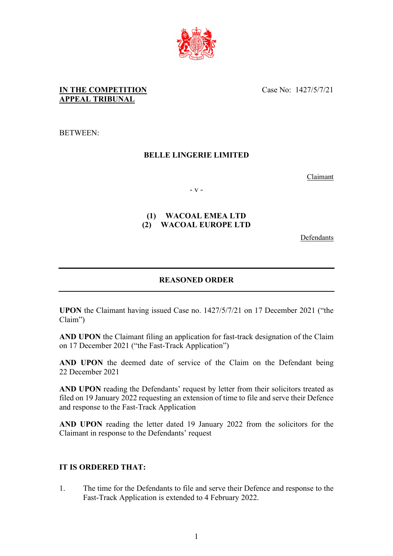

# **IN THE COMPETITION APPEAL TRIBUNAL**

Case No: 1427/5/7/21

BETWEEN:

# **BELLE LINGERIE LIMITED**

Claimant

- v -

# **(1) WACOAL EMEA LTD (2) WACOAL EUROPE LTD**

Defendants

# **REASONED ORDER**

**UPON** the Claimant having issued Case no. 1427/5/7/21 on 17 December 2021 ("the Claim")

**AND UPON** the Claimant filing an application for fast-track designation of the Claim on 17 December 2021 ("the Fast-Track Application")

**AND UPON** the deemed date of service of the Claim on the Defendant being 22 December 2021

**AND UPON** reading the Defendants' request by letter from their solicitors treated as filed on 19 January 2022 requesting an extension of time to file and serve their Defence and response to the Fast-Track Application

**AND UPON** reading the letter dated 19 January 2022 from the solicitors for the Claimant in response to the Defendants' request

#### **IT IS ORDERED THAT:**

1. The time for the Defendants to file and serve their Defence and response to the Fast-Track Application is extended to 4 February 2022.